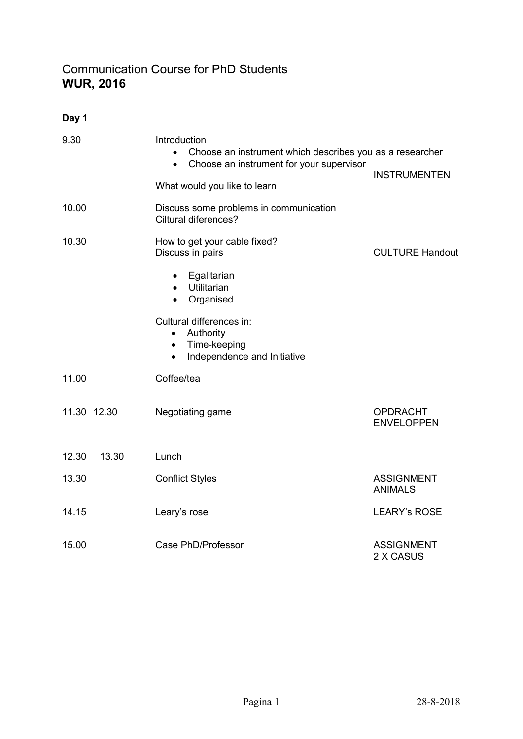## Communication Course for PhD Students WUR, 2016

Day 1

| 9.30           | Introduction<br>Choose an instrument which describes you as a researcher<br>$\bullet$<br>Choose an instrument for your supervisor<br>$\bullet$<br>What would you like to learn | <b>INSTRUMENTEN</b>                  |
|----------------|--------------------------------------------------------------------------------------------------------------------------------------------------------------------------------|--------------------------------------|
| 10.00          | Discuss some problems in communication<br>Ciltural diferences?                                                                                                                 |                                      |
| 10.30          | How to get your cable fixed?<br>Discuss in pairs                                                                                                                               | <b>CULTURE Handout</b>               |
|                | Egalitarian<br>$\bullet$<br>Utilitarian<br>$\bullet$<br>Organised<br>$\bullet$                                                                                                 |                                      |
|                | Cultural differences in:<br>Authority<br>$\bullet$<br>Time-keeping<br>$\bullet$<br>Independence and Initiative<br>$\bullet$                                                    |                                      |
| 11.00          | Coffee/tea                                                                                                                                                                     |                                      |
| 11.30 12.30    | Negotiating game                                                                                                                                                               | <b>OPDRACHT</b><br><b>ENVELOPPEN</b> |
| 12.30<br>13.30 | Lunch                                                                                                                                                                          |                                      |
| 13.30          | <b>Conflict Styles</b>                                                                                                                                                         | <b>ASSIGNMENT</b><br><b>ANIMALS</b>  |
| 14.15          | Leary's rose                                                                                                                                                                   | <b>LEARY's ROSE</b>                  |
| 15.00          | Case PhD/Professor                                                                                                                                                             | <b>ASSIGNMENT</b><br>2 X CASUS       |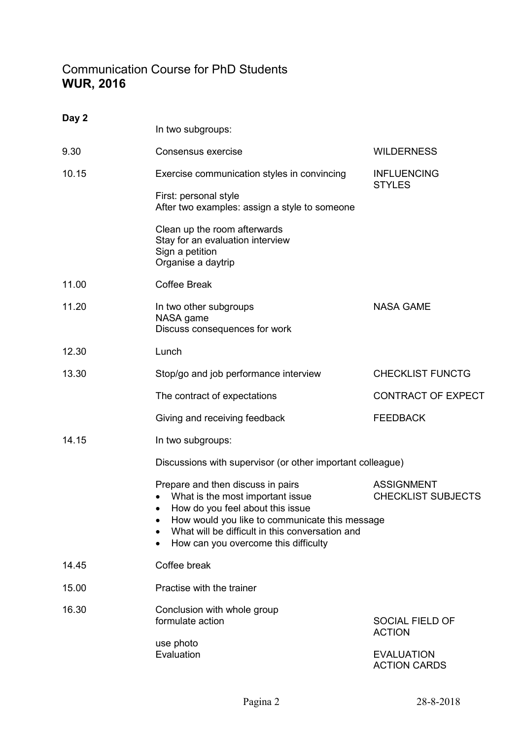## Communication Course for PhD Students WUR, 2016

| Day 2 | In two subgroups:                                                                                                                                                                                                                                      |                                                            |  |  |
|-------|--------------------------------------------------------------------------------------------------------------------------------------------------------------------------------------------------------------------------------------------------------|------------------------------------------------------------|--|--|
| 9.30  | Consensus exercise                                                                                                                                                                                                                                     | <b>WILDERNESS</b>                                          |  |  |
| 10.15 | Exercise communication styles in convincing                                                                                                                                                                                                            | <b>INFLUENCING</b><br><b>STYLES</b>                        |  |  |
|       | First: personal style<br>After two examples: assign a style to someone                                                                                                                                                                                 |                                                            |  |  |
|       | Clean up the room afterwards<br>Stay for an evaluation interview<br>Sign a petition<br>Organise a daytrip                                                                                                                                              |                                                            |  |  |
| 11.00 | <b>Coffee Break</b>                                                                                                                                                                                                                                    |                                                            |  |  |
| 11.20 | In two other subgroups<br>NASA game<br>Discuss consequences for work                                                                                                                                                                                   | <b>NASA GAME</b>                                           |  |  |
| 12.30 | Lunch                                                                                                                                                                                                                                                  |                                                            |  |  |
| 13.30 | Stop/go and job performance interview                                                                                                                                                                                                                  | <b>CHECKLIST FUNCTG</b>                                    |  |  |
|       | The contract of expectations                                                                                                                                                                                                                           | <b>CONTRACT OF EXPECT</b>                                  |  |  |
|       | Giving and receiving feedback                                                                                                                                                                                                                          | <b>FEEDBACK</b>                                            |  |  |
| 14.15 | In two subgroups:                                                                                                                                                                                                                                      |                                                            |  |  |
|       |                                                                                                                                                                                                                                                        | Discussions with supervisor (or other important colleague) |  |  |
|       | Prepare and then discuss in pairs<br>What is the most important issue<br>How do you feel about this issue<br>How would you like to communicate this message<br>What will be difficult in this conversation and<br>How can you overcome this difficulty | <b>ASSIGNMENT</b><br><b>CHECKLIST SUBJECTS</b>             |  |  |
| 14.45 | Coffee break                                                                                                                                                                                                                                           |                                                            |  |  |
| 15.00 | Practise with the trainer                                                                                                                                                                                                                              |                                                            |  |  |
| 16.30 | Conclusion with whole group<br>formulate action                                                                                                                                                                                                        | <b>SOCIAL FIELD OF</b><br><b>ACTION</b>                    |  |  |
|       | use photo<br>Evaluation                                                                                                                                                                                                                                | <b>EVALUATION</b><br><b>ACTION CARDS</b>                   |  |  |